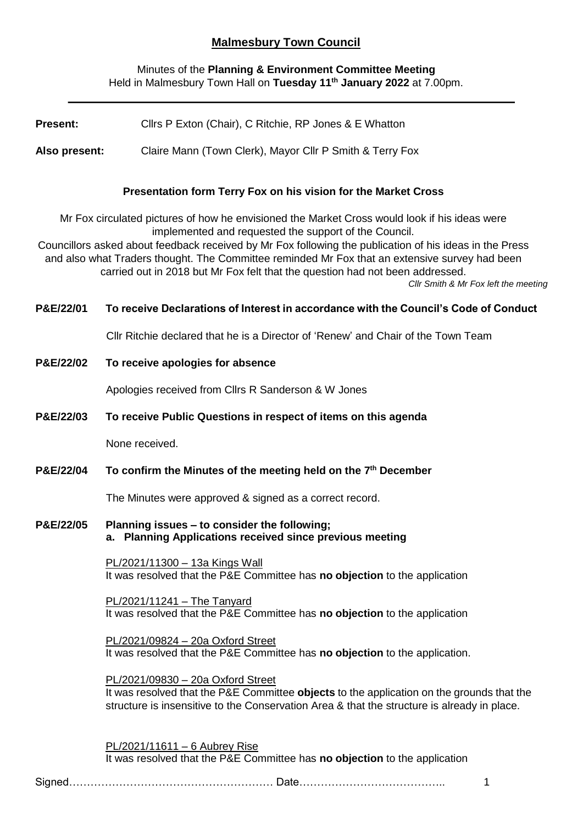# **Malmesbury Town Council**

## Minutes of the **Planning & Environment Committee Meeting** Held in Malmesbury Town Hall on **Tuesday 11th January 2022** at 7.00pm.

| <b>Present:</b>                                                                                                                                                                                                                                                                                                                                                                                                                                                                              | Cllrs P Exton (Chair), C Ritchie, RP Jones & E Whatton                                                                                                                                                                        |
|----------------------------------------------------------------------------------------------------------------------------------------------------------------------------------------------------------------------------------------------------------------------------------------------------------------------------------------------------------------------------------------------------------------------------------------------------------------------------------------------|-------------------------------------------------------------------------------------------------------------------------------------------------------------------------------------------------------------------------------|
| Also present:                                                                                                                                                                                                                                                                                                                                                                                                                                                                                | Claire Mann (Town Clerk), Mayor Cllr P Smith & Terry Fox                                                                                                                                                                      |
|                                                                                                                                                                                                                                                                                                                                                                                                                                                                                              |                                                                                                                                                                                                                               |
| Presentation form Terry Fox on his vision for the Market Cross                                                                                                                                                                                                                                                                                                                                                                                                                               |                                                                                                                                                                                                                               |
| Mr Fox circulated pictures of how he envisioned the Market Cross would look if his ideas were<br>implemented and requested the support of the Council.<br>Councillors asked about feedback received by Mr Fox following the publication of his ideas in the Press<br>and also what Traders thought. The Committee reminded Mr Fox that an extensive survey had been<br>carried out in 2018 but Mr Fox felt that the question had not been addressed.<br>Cllr Smith & Mr Fox left the meeting |                                                                                                                                                                                                                               |
| P&E/22/01                                                                                                                                                                                                                                                                                                                                                                                                                                                                                    | To receive Declarations of Interest in accordance with the Council's Code of Conduct                                                                                                                                          |
|                                                                                                                                                                                                                                                                                                                                                                                                                                                                                              | Cllr Ritchie declared that he is a Director of 'Renew' and Chair of the Town Team                                                                                                                                             |
| P&E/22/02                                                                                                                                                                                                                                                                                                                                                                                                                                                                                    | To receive apologies for absence                                                                                                                                                                                              |
|                                                                                                                                                                                                                                                                                                                                                                                                                                                                                              | Apologies received from Cllrs R Sanderson & W Jones                                                                                                                                                                           |
| P&E/22/03                                                                                                                                                                                                                                                                                                                                                                                                                                                                                    | To receive Public Questions in respect of items on this agenda                                                                                                                                                                |
|                                                                                                                                                                                                                                                                                                                                                                                                                                                                                              | None received.                                                                                                                                                                                                                |
| P&E/22/04                                                                                                                                                                                                                                                                                                                                                                                                                                                                                    | To confirm the Minutes of the meeting held on the 7 <sup>th</sup> December                                                                                                                                                    |
|                                                                                                                                                                                                                                                                                                                                                                                                                                                                                              | The Minutes were approved & signed as a correct record.                                                                                                                                                                       |
| P&E/22/05                                                                                                                                                                                                                                                                                                                                                                                                                                                                                    | Planning issues - to consider the following;<br>a. Planning Applications received since previous meeting                                                                                                                      |
|                                                                                                                                                                                                                                                                                                                                                                                                                                                                                              | <u>PL/2021/11300 - 13a Kings Wall</u><br>It was resolved that the P&E Committee has no objection to the application                                                                                                           |
|                                                                                                                                                                                                                                                                                                                                                                                                                                                                                              | PL/2021/11241 - The Tanyard<br>It was resolved that the P&E Committee has no objection to the application                                                                                                                     |
|                                                                                                                                                                                                                                                                                                                                                                                                                                                                                              | PL/2021/09824 - 20a Oxford Street<br>It was resolved that the P&E Committee has no objection to the application.                                                                                                              |
|                                                                                                                                                                                                                                                                                                                                                                                                                                                                                              | PL/2021/09830 - 20a Oxford Street<br>It was resolved that the P&E Committee objects to the application on the grounds that the<br>structure is insensitive to the Conservation Area & that the structure is already in place. |
|                                                                                                                                                                                                                                                                                                                                                                                                                                                                                              | PL/2021/11611 - 6 Aubrey Rise<br>It was resolved that the P&E Committee has no objection to the application                                                                                                                   |